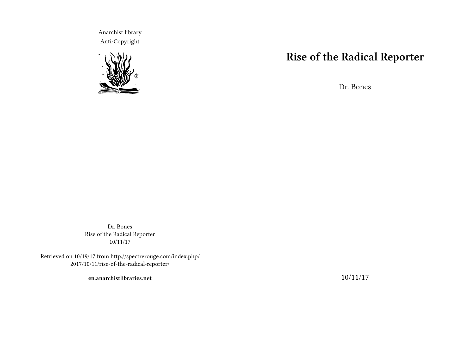Anarchist library Anti-Copyright



## **Rise of the Radical Reporter**

Dr. Bones

Dr. Bones Rise of the Radical Reporter 10/11/17

Retrieved on 10/19/17 from http://spectrerouge.com/index.php/ 2017/10/11/rise-of-the-radical-reporter/

**en.anarchistlibraries.net**

10/11/17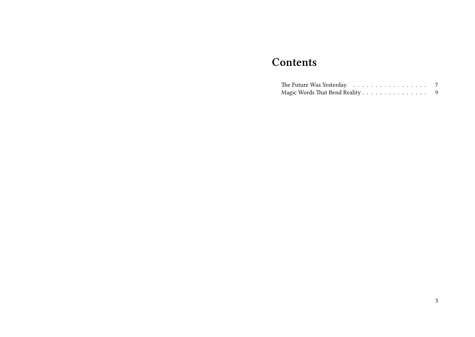## **Contents**

| Magic Words That Bend Reality |  |  |  |  |  |  |  |  |
|-------------------------------|--|--|--|--|--|--|--|--|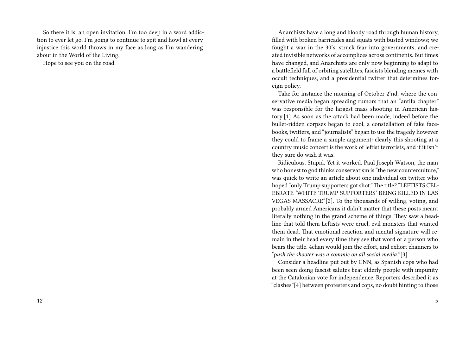So there it is, an open invitation. I'm too deep in a word addiction to ever let go. I'm going to continue to spit and howl at every injustice this world throws in my face as long as I'm wandering about in the World of the Living.

Hope to see you on the road.

Anarchists have a long and bloody road through human history, filled with broken barricades and squats with busted windows; we fought a war in the 30's, struck fear into governments, and created invisible networks of accomplices across continents. But times have changed, and Anarchists are only now beginning to adapt to a battlefield full of orbiting satellites, fascists blending memes with occult techniques, and a presidential twitter that determines foreign policy.

Take for instance the morning of October 2'nd, where the conservative media began spreading rumors that an "antifa chapter" was responsible for the largest mass shooting in American history.[1] As soon as the attack had been made, indeed before the bullet-ridden corpses began to cool, a constellation of fake facebooks, twitters, and "journalists" began to use the tragedy however they could to frame a simple argument: clearly this shooting at a country music concert is the work of leftist terrorists, and if it isn't they sure do wish it was.

Ridiculous. Stupid. Yet it worked. Paul Joseph Watson, the man who honest to god thinks conservatism is "the new counterculture," was quick to write an article about one individual on twitter who hoped "only Trump supporters got shot." The title? "LEFTISTS CEL-EBRATE 'WHITE TRUMP SUPPORTERS' BEING KILLED IN LAS VEGAS MASSACRE"[2]. To the thousands of willing, voting, and probably armed Americans it didn't matter that these posts meant literally nothing in the grand scheme of things. They saw a headline that told them Leftists were cruel, evil monsters that wanted them dead. That emotional reaction and mental signature will remain in their head every time they see that word or a person who bears the title. 4chan would join the effort, and exhort channers to *"push the shooter was a commie on all social media."*[3]

Consider a headline put out by CNN, as Spanish cops who had been seen doing fascist salutes beat elderly people with impunity at the Catalonian vote for independence. Reporters described it as "clashes"[4] between protesters and cops, no doubt hinting to those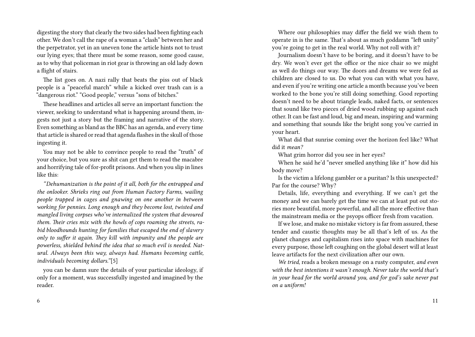digesting the story that clearly the two sides had been fighting each other. We don't call the rape of a woman a "clash" between her and the perpetrator, yet in an uneven tone the article hints not to trust our lying eyes; that there must be some reason, some good cause, as to why that policeman in riot gear is throwing an old lady down a flight of stairs.

The list goes on. A nazi rally that beats the piss out of black people is a "peaceful march" while a kicked over trash can is a "dangerous riot." "Good people," versus "sons of bitches."

These headlines and articles all serve an important function: the viewer, seeking to understand what is happening around them, ingests not just a story but the framing and narrative of the story. Even something as bland as the BBC has an agenda, and every time that article is shared or read that agenda flashes in the skull of those ingesting it.

You may not be able to convince people to read the "truth" of your choice, but you sure as shit can get them to read the macabre and horrifying tale of for-profit prisons. And when you slip in lines like this:

*"Dehumanization is the point of it all, both for the entrapped and the onlooker. Shrieks ring out from Human Factory Farms, wailing people trapped in cages and gnawing on one another in between working for pennies. Long enough and they become lost, twisted and mangled living corpses who've internalized the system that devoured them. Their cries mix with the howls of cops roaming the streets, rabid bloodhounds hunting for families that escaped the end of slavery only to suffer it again. They kill with impunity and the people are powerless, shielded behind the idea that so much evil is needed. Natural. Always been this way, always had. Humans becoming cattle, individuals becoming dollars."*[5]

you can be damn sure the details of your particular ideology, if only for a moment, was successfully ingested and imagined by the reader.

Where our philosophies may differ the field we wish them to operate in is the same. That's about as much goddamn "left unity" you're going to get in the real world. Why not roll with it?

Journalism doesn't have to be boring, and it doesn't have to be dry. We won't ever get the office or the nice chair so we might as well do things our way. The doors and dreams we were fed as children are closed to us. Do what you can with what you have, and even if you're writing one article a month because you've been worked to the bone you're still doing something. Good reporting doesn't need to be about triangle leads, naked facts, or sentences that sound like two pieces of dried wood rubbing up against each other. It can be fast and loud, big and mean, inspiring and warming and something that sounds like the bright song you've carried in your heart.

What did that sunrise coming over the horizon feel like? What did it *mean?*

What grim horror did you see in her eyes?

When he said he'd "never smelled anything like it" how did his body move?

Is the victim a lifelong gambler or a puritan? Is this unexpected? Par for the course? Why?

Details, life, everything and everything. If we can't get the money and we can barely get the time we can at least put out stories more beautiful, more powerful, and all the more effective than the mainstream media or the psyops officer fresh from vacation.

If we lose, and make no mistake victory is far from assured, these tender and caustic thoughts may be all that's left of us. As the planet changes and capitalism rises into space with machines for every purpose, those left coughing on the global desert will at least leave artifacts for the next civilization after our own.

*We tried,* reads a broken message on a rusty computer, *and even with the best intentions it wasn't enough. Never take the world that's in your head for the world around you, and for god's sake never put on a uniform!*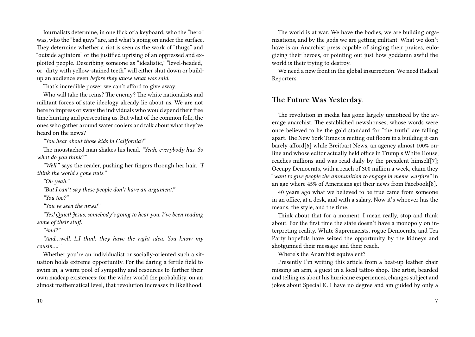Journalists determine, in one flick of a keyboard, who the "hero" was, who the "bad guys" are, and what's going on under the surface. They determine whether a riot is seen as the work of "thugs" and "outside agitators" or the justified uprising of an oppressed and exploited people. Describing someone as "idealistic," "level-headed," or "dirty with yellow-stained teeth" will either shut down or buildup an audience even *before they know what was said.*

That's incredible power we can't afford to give away.

Who will take the reins? The enemy? The white nationalists and militant forces of state ideology already lie about us. We are not here to impress or sway the individuals who would spend their free time hunting and persecuting us. But what of the common folk, the ones who gather around water coolers and talk about what they've heard on the news?

*"You hear about those kids in California?"*

The moustached man shakes his head. *"Yeah, everybody has. So what do you think?"*

*"Well,"* says the reader, pushing her fingers through her hair. *"I think the world's gone nuts."*

*"Oh yeah."*

*"But I can't say these people don't have an argument."*

*"You too?"*

*"You've seen the news!"*

*"Yes! Quiet! Jesus, somebody's going to hear you. I've been reading some of their stuff."*

*"And?"*

*"And…well. I..I think they have the right idea. You know my cousin…:"*

Whether you're an individualist or socially-oriented such a situation holds extreme opportunity. For the daring a fertile field to swim in, a warm pool of sympathy and resources to further their own madcap existences; for the wider world the probability, on an almost mathematical level, that revolution increases in likelihood.

The world is at war. We have the bodies, we are building organizations, and by the gods we are getting militant. What we don't have is an Anarchist press capable of singing their praises, eulogizing their heroes, or pointing out just how goddamn awful the world is their trying to destroy.

We need a new front in the global insurrection. We need Radical Reporters.

## **The Future Was Yesterday.**

The revolution in media has gone largely unnoticed by the average anarchist. The established newshouses, whose words were once believed to be the gold standard for "the truth" are falling apart. The New York Times is renting out floors in a building it can barely afford[6] while Breitbart News, an agency almost 100% online and whose editor actually held office in Trump's White House, reaches millions and was read daily by the president himself[7]; Occupy Democrats, with a reach of 300 million a week, claim they "*want to give people the ammunition to engage in meme warfare"* in an age where 45% of Americans get their news from Facebook[8].

40 years ago what we believed to be true came from someone in an office, at a desk, and with a salary. Now it's whoever has the means, the style, and the time.

Think about that for a moment. I mean really, stop and think about. For the first time the state doesn't have a monopoly on interpreting reality. White Supremacists, rogue Democrats, and Tea Party hopefuls have seized the opportunity by the kidneys and shotgunned their message and their reach.

Where's the Anarchist equivalent?

Presently I'm writing this article from a beat-up leather chair missing an arm, a guest in a local tattoo shop. The artist, bearded and telling us about his hurricane experiences, changes subject and jokes about Special K. I have no degree and am guided by only a